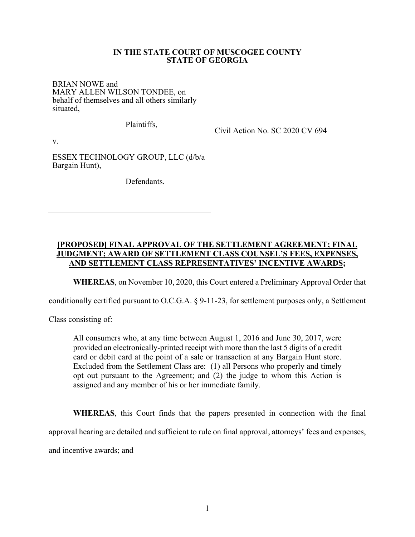## **IN THE STATE COURT OF MUSCOGEE COUNTY STATE OF GEORGIA**

BRIAN NOWE and MARY ALLEN WILSON TONDEE, on behalf of themselves and all others similarly situated,

Plaintiffs,

Civil Action No. SC 2020 CV 694

v.

ESSEX TECHNOLOGY GROUP, LLC (d/b/a Bargain Hunt),

Defendants.

## **[PROPOSED] FINAL APPROVAL OF THE SETTLEMENT AGREEMENT; FINAL JUDGMENT; AWARD OF SETTLEMENT CLASS COUNSEL'S FEES, EXPENSES, AND SETTLEMENT CLASS REPRESENTATIVES' INCENTIVE AWARDS;**

**WHEREAS**, on November 10, 2020, this Court entered a Preliminary Approval Order that

conditionally certified pursuant to O.C.G.A. § 9-11-23, for settlement purposes only, a Settlement

Class consisting of:

All consumers who, at any time between August 1, 2016 and June 30, 2017, were provided an electronically-printed receipt with more than the last 5 digits of a credit card or debit card at the point of a sale or transaction at any Bargain Hunt store. Excluded from the Settlement Class are: (1) all Persons who properly and timely opt out pursuant to the Agreement; and (2) the judge to whom this Action is assigned and any member of his or her immediate family.

**WHEREAS**, this Court finds that the papers presented in connection with the final

approval hearing are detailed and sufficient to rule on final approval, attorneys' fees and expenses,

and incentive awards; and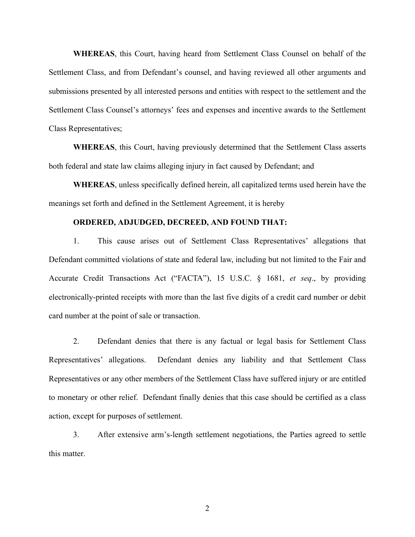**WHEREAS**, this Court, having heard from Settlement Class Counsel on behalf of the Settlement Class, and from Defendant's counsel, and having reviewed all other arguments and submissions presented by all interested persons and entities with respect to the settlement and the Settlement Class Counsel's attorneys' fees and expenses and incentive awards to the Settlement Class Representatives;

**WHEREAS**, this Court, having previously determined that the Settlement Class asserts both federal and state law claims alleging injury in fact caused by Defendant; and

**WHEREAS**, unless specifically defined herein, all capitalized terms used herein have the meanings set forth and defined in the Settlement Agreement, it is hereby

## **ORDERED, ADJUDGED, DECREED, AND FOUND THAT:**

1. This cause arises out of Settlement Class Representatives' allegations that Defendant committed violations of state and federal law, including but not limited to the Fair and Accurate Credit Transactions Act ("FACTA"), 15 U.S.C. § 1681, *et seq*., by providing electronically-printed receipts with more than the last five digits of a credit card number or debit card number at the point of sale or transaction.

2. Defendant denies that there is any factual or legal basis for Settlement Class Representatives' allegations. Defendant denies any liability and that Settlement Class Representatives or any other members of the Settlement Class have suffered injury or are entitled to monetary or other relief. Defendant finally denies that this case should be certified as a class action, except for purposes of settlement.

3. After extensive arm's-length settlement negotiations, the Parties agreed to settle this matter.

2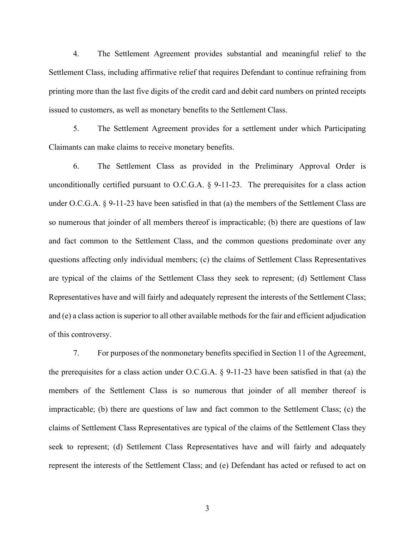4. The Settlement Agreement provides substantial and meaningful relief to the Settlement Class, including affirmative relief that requires Defendant to continue refraining from printing more than the last five digits of the credit card and debit card numbers on printed receipts issued to customers, as well as monetary benefits to the Settlement Class.

5. The Settlement Agreement provides for a settlement under which Participating Claimants can make claims to receive monetary benefits.

6. The Settlement Class as provided in the Preliminary Approval Order is unconditionally certified pursuant to O.C.G.A. § 9-11-23. The prerequisites for a class action under O.C.G.A. § 9-11-23 have been satisfied in that (a) the members of the Settlement Class are so numerous that joinder of all members thereof is impracticable; (b) there are questions of law and fact common to the Settlement Class, and the common questions predominate over any questions affecting only individual members; (c) the claims of Settlement Class Representatives are typical of the claims of the Settlement Class they seek to represent; (d) Settlement Class Representatives have and will fairly and adequately represent the interests of the Settlement Class; and (e) a class action is superior to all other available methods for the fair and efficient adjudication of this controversy.

7. For purposes of the nonmonetary benefits specified in Section 11 of the Agreement, the prerequisites for a class action under O.C.G.A. § 9-11-23 have been satisfied in that (a) the members of the Settlement Class is so numerous that joinder of all member thereof is impracticable; (b) there are questions of law and fact common to the Settlement Class; (c) the claims of Settlement Class Representatives are typical of the claims of the Settlement Class they seek to represent; (d) Settlement Class Representatives have and will fairly and adequately represent the interests of the Settlement Class; and (e) Defendant has acted or refused to act on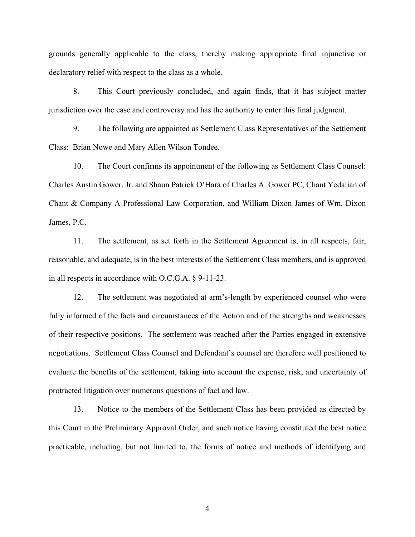grounds generally applicable to the class, thereby making appropriate final injunctive or declaratory relief with respect to the class as a whole.

8. This Court previously concluded, and again finds, that it has subject matter jurisdiction over the case and controversy and has the authority to enter this final judgment.

9. The following are appointed as Settlement Class Representatives of the Settlement Class: Brian Nowe and Mary Allen Wilson Tondee.

10. The Court confirms its appointment of the following as Settlement Class Counsel: Charles Austin Gower, Jr. and Shaun Patrick O'Hara of Charles A. Gower PC, Chant Yedalian of Chant & Company A Professional Law Corporation, and William Dixon James of Wm. Dixon James, P.C.

11. The settlement, as set forth in the Settlement Agreement is, in all respects, fair, reasonable, and adequate, is in the best interests of the Settlement Class members, and is approved in all respects in accordance with O.C.G.A. § 9-11-23.

12. The settlement was negotiated at arm's-length by experienced counsel who were fully informed of the facts and circumstances of the Action and of the strengths and weaknesses of their respective positions. The settlement was reached after the Parties engaged in extensive negotiations. Settlement Class Counsel and Defendant's counsel are therefore well positioned to evaluate the benefits of the settlement, taking into account the expense, risk, and uncertainty of protracted litigation over numerous questions of fact and law.

13. Notice to the members of the Settlement Class has been provided as directed by this Court in the Preliminary Approval Order, and such notice having constituted the best notice practicable, including, but not limited to, the forms of notice and methods of identifying and

4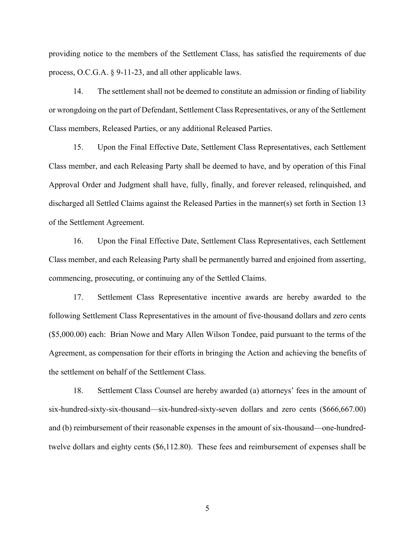providing notice to the members of the Settlement Class, has satisfied the requirements of due process, O.C.G.A. § 9-11-23, and all other applicable laws.

14. The settlement shall not be deemed to constitute an admission or finding of liability or wrongdoing on the part of Defendant, Settlement Class Representatives, or any of the Settlement Class members, Released Parties, or any additional Released Parties.

15. Upon the Final Effective Date, Settlement Class Representatives, each Settlement Class member, and each Releasing Party shall be deemed to have, and by operation of this Final Approval Order and Judgment shall have, fully, finally, and forever released, relinquished, and discharged all Settled Claims against the Released Parties in the manner(s) set forth in Section 13 of the Settlement Agreement.

16. Upon the Final Effective Date, Settlement Class Representatives, each Settlement Class member, and each Releasing Party shall be permanently barred and enjoined from asserting, commencing, prosecuting, or continuing any of the Settled Claims.

17. Settlement Class Representative incentive awards are hereby awarded to the following Settlement Class Representatives in the amount of five-thousand dollars and zero cents (\$5,000.00) each: Brian Nowe and Mary Allen Wilson Tondee, paid pursuant to the terms of the Agreement, as compensation for their efforts in bringing the Action and achieving the benefits of the settlement on behalf of the Settlement Class.

18. Settlement Class Counsel are hereby awarded (a) attorneys' fees in the amount of six-hundred-sixty-six-thousand—six-hundred-sixty-seven dollars and zero cents (\$666,667.00) and (b) reimbursement of their reasonable expenses in the amount of six-thousand—one-hundredtwelve dollars and eighty cents (\$6,112.80). These fees and reimbursement of expenses shall be

5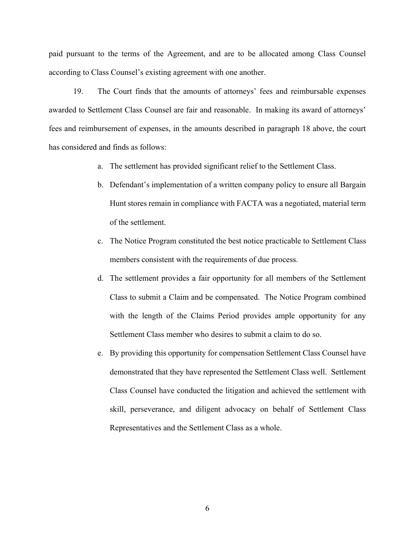paid pursuant to the terms of the Agreement, and are to be allocated among Class Counsel according to Class Counsel's existing agreement with one another.

19. The Court finds that the amounts of attorneys' fees and reimbursable expenses awarded to Settlement Class Counsel are fair and reasonable. In making its award of attorneys' fees and reimbursement of expenses, in the amounts described in paragraph 18 above, the court has considered and finds as follows:

- a. The settlement has provided significant relief to the Settlement Class.
- b. Defendant's implementation of a written company policy to ensure all Bargain Hunt stores remain in compliance with FACTA was a negotiated, material term of the settlement.
- c. The Notice Program constituted the best notice practicable to Settlement Class members consistent with the requirements of due process.
- d. The settlement provides a fair opportunity for all members of the Settlement Class to submit a Claim and be compensated. The Notice Program combined with the length of the Claims Period provides ample opportunity for any Settlement Class member who desires to submit a claim to do so.
- e. By providing this opportunity for compensation Settlement Class Counsel have demonstrated that they have represented the Settlement Class well. Settlement Class Counsel have conducted the litigation and achieved the settlement with skill, perseverance, and diligent advocacy on behalf of Settlement Class Representatives and the Settlement Class as a whole.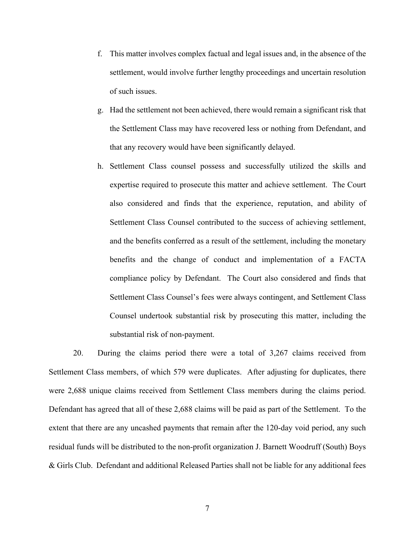- f. This matter involves complex factual and legal issues and, in the absence of the settlement, would involve further lengthy proceedings and uncertain resolution of such issues.
- g. Had the settlement not been achieved, there would remain a significant risk that the Settlement Class may have recovered less or nothing from Defendant, and that any recovery would have been significantly delayed.
- h. Settlement Class counsel possess and successfully utilized the skills and expertise required to prosecute this matter and achieve settlement. The Court also considered and finds that the experience, reputation, and ability of Settlement Class Counsel contributed to the success of achieving settlement, and the benefits conferred as a result of the settlement, including the monetary benefits and the change of conduct and implementation of a FACTA compliance policy by Defendant. The Court also considered and finds that Settlement Class Counsel's fees were always contingent, and Settlement Class Counsel undertook substantial risk by prosecuting this matter, including the substantial risk of non-payment.

20. During the claims period there were a total of 3,267 claims received from Settlement Class members, of which 579 were duplicates. After adjusting for duplicates, there were 2,688 unique claims received from Settlement Class members during the claims period. Defendant has agreed that all of these 2,688 claims will be paid as part of the Settlement. To the extent that there are any uncashed payments that remain after the 120-day void period, any such residual funds will be distributed to the non-profit organization J. Barnett Woodruff (South) Boys & Girls Club. Defendant and additional Released Parties shall not be liable for any additional fees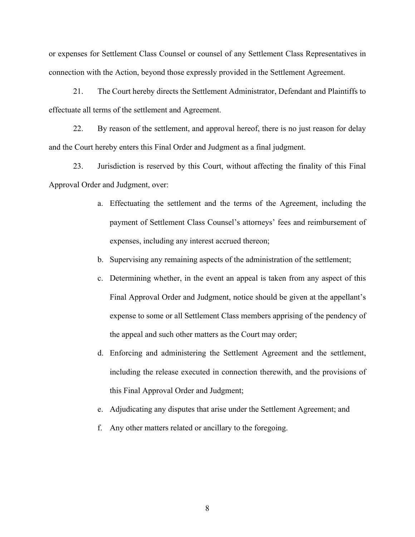or expenses for Settlement Class Counsel or counsel of any Settlement Class Representatives in connection with the Action, beyond those expressly provided in the Settlement Agreement.

21. The Court hereby directs the Settlement Administrator, Defendant and Plaintiffs to effectuate all terms of the settlement and Agreement.

22. By reason of the settlement, and approval hereof, there is no just reason for delay and the Court hereby enters this Final Order and Judgment as a final judgment.

23. Jurisdiction is reserved by this Court, without affecting the finality of this Final Approval Order and Judgment, over:

- a. Effectuating the settlement and the terms of the Agreement, including the payment of Settlement Class Counsel's attorneys' fees and reimbursement of expenses, including any interest accrued thereon;
- b. Supervising any remaining aspects of the administration of the settlement;
- c. Determining whether, in the event an appeal is taken from any aspect of this Final Approval Order and Judgment, notice should be given at the appellant's expense to some or all Settlement Class members apprising of the pendency of the appeal and such other matters as the Court may order;
- d. Enforcing and administering the Settlement Agreement and the settlement, including the release executed in connection therewith, and the provisions of this Final Approval Order and Judgment;
- e. Adjudicating any disputes that arise under the Settlement Agreement; and
- f. Any other matters related or ancillary to the foregoing.